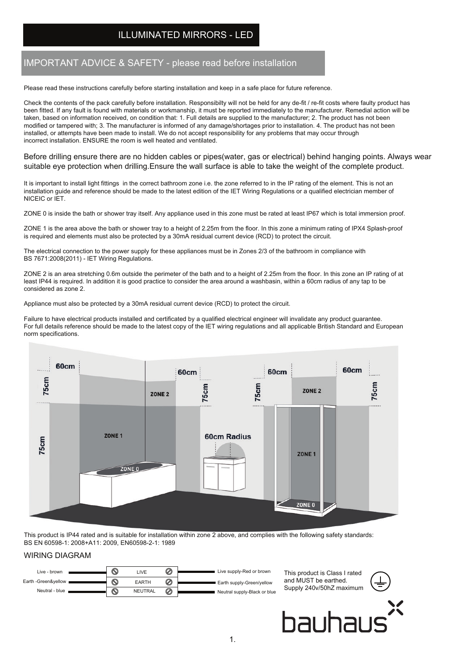# ILLUMINATED MIRRORS - LED

## IMPORTANT ADVICE & SAFETY - please read before installation

Please read these instructions carefully before starting installation and keep in a safe place for future reference.

Check the contents of the pack carefully before installation. Responsibilty will not be held for any de-fit / re-fit costs where faulty product has been fitted. If any fault is found with materials or workmanship, it must be reported immediately to the manufacturer. Remedial action will be taken, based on information received, on condition that: 1. Full details are supplied to the manufacturer; 2. The product has not been modified or tampered with; 3. The manufacturer is informed of any damage/shortages prior to installation. 4. The product has not been installed, or attempts have been made to install. We do not accept responsibility for any problems that may occur through incorrect installation. ENSURE the room is well heated and ventilated.

Before drilling ensure there are no hidden cables or pipes(water, gas or electrical) behind hanging points. Always wear suitable eye protection when drilling.Ensure the wall surface is able to take the weight of the complete product.

It is important to install light fittings in the correct bathroom zone i.e. the zone referred to in the IP rating of the element. This is not an installation guide and reference should be made to the latest edition of the IET Wiring Regulations or a qualified electrician member of NICEIC or IET.

ZONE 0 is inside the bath or shower tray itself. Any appliance used in this zone must be rated at least IP67 which is total immersion proof.

ZONE 1 is the area above the bath or shower tray to a height of 2.25m from the floor. In this zone a minimum rating of IPX4 Splash-proof is required and elements must also be protected by a 30mA residual current device (RCD) to protect the circuit.

The electrical connection to the power supply for these appliances must be in Zones 2/3 of the bathroom in compliance with BS 7671:2008(2011) - IET Wiring Regulations.

ZONE 2 is an area stretching 0.6m outside the perimeter of the bath and to a height of 2.25m from the floor. In this zone an IP rating of at least IP44 is required. In addition it is good practice to consider the area around a washbasin, within a 60cm radius of any tap to be considered as zone 2.

Appliance must also be protected by a 30mA residual current device (RCD) to protect the circuit.

Failure to have electrical products installed and certificated by a qualified electrical engineer will invalidate any product guarantee. For full details reference should be made to the latest copy of the IET wiring regulations and all applicable British Standard and European norm specifications.



This product is IP44 rated and is suitable for installation within zone 2 above, and complies with the following safety standards: BS EN 60598-1: 2008+A11: 2009, EN60598-2-1: 1989

#### WIRING DIAGRAM



והחו והר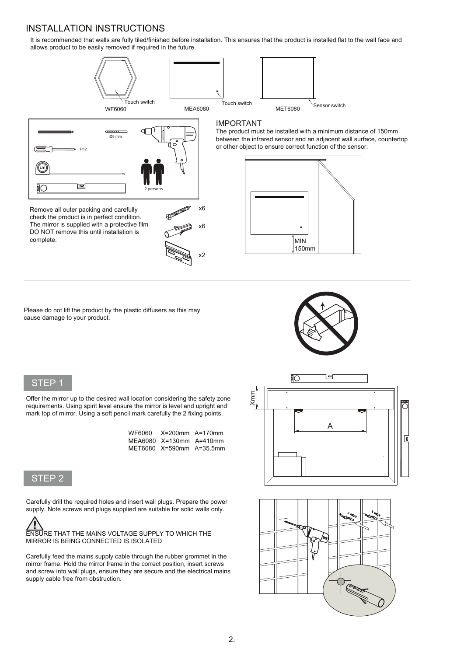# INSTALLATION INSTRUCTIONS

It is recommended that walls are fully tiled/finished before installation. This ensures that the product is installed flat to the wall face and allows product to be easily removed if required in the future.





Remove all outer packing and carefully check the product is in perfect condition. The mirror is supplied with a protective film DO NOT remove this until installation is complete.



IMPORTANT The product must be installed with a minimum distance of 150mm between the infrared sensor and an adjacent wall surface, countertop or other object to ensure correct function of the sensor.



Please do not lift the product by the plastic diffusers as this may cause damage to your product.



### STEP 1

Offer the mirror up to the desired wall location considering the safety zone requirements. Using spirit level ensure the mirror is level and upright and mark top of mirror. Using a soft pencil mark carefully the 2 fixing points.

| WF6060 X=200mm A=170mm   |  |
|--------------------------|--|
| MEA6080 X=130mm A=410mm  |  |
| MET6080 X=590mm A=35.5mm |  |

## STEP 2

Carefully drill the required holes and insert wall plugs. Prepare the power supply. Note screws and plugs supplied are suitable for solid walls only.



Carefully feed the mains supply cable through the rubber grommet in the mirror frame. Hold the mirror frame in the correct position, insert screws and screw into wall plugs, ensure they are secure and the electrical mains supply cable free from obstruction.



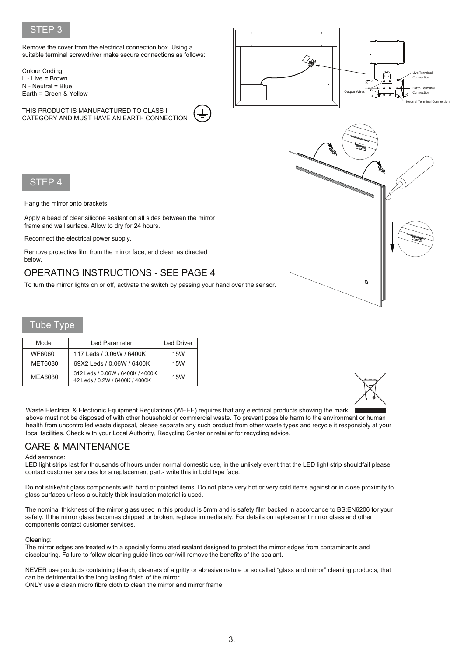

Remove the cover from the electrical connection box. Using a suitable terminal screwdriver make secure connections as follows:

Colour Coding: L - Live = Brown N - Neutral = Blue Earth = Green & Yellow

THIS PRODUCT IS MANUFACTURED TO CLASS I CATEGORY AND MUST HAVE AN EARTH CONNECTION





## STEP 4

Hang the mirror onto brackets.

Apply a bead of clear silicone sealant on all sides between the mirror frame and wall surface. Allow to dry for 24 hours.

Reconnect the electrical power supply.

Remove protective film from the mirror face, and clean as directed below.

## OPERATING INSTRUCTIONS - SEE PAGE 4

To turn the mirror lights on or off, activate the switch by passing your hand over the sensor.

### Tube Type

| Model          | Led Parameter                                                      | <b>Led Driver</b> |
|----------------|--------------------------------------------------------------------|-------------------|
| WF6060         | 117 Leds / 0.06W / 6400K                                           | 15W               |
| MET6080        | 69X2 Leds / 0.06W / 6400K                                          | 15W               |
| <b>MFA6080</b> | 312 Leds / 0.06W / 6400K / 4000K<br>42 Leds / 0.2W / 6400K / 4000K | 15W               |



Waste Electrical & Electronic Equipment Regulations (WEEE) requires that any electrical products showing the mark above must not be disposed of with other household or commercial waste. To prevent possible harm to the environment or human health from uncontrolled waste disposal, please separate any such product from other waste types and recycle it responsibly at your local facilities. Check with your Local Authority, Recycling Center or retailer for recycling advice.

## CARE & MAINTENANCE

#### Add sentence:

LED light strips last for thousands of hours under normal domestic use, in the unlikely event that the LED light strip shouldfail please contact customer services for a replacement part.- write this in bold type face.

Do not strike/hit glass components with hard or pointed items. Do not place very hot or very cold items against or in close proximity to glass surfaces unless a suitably thick insulation material is used.

The nominal thickness of the mirror glass used in this product is 5mm and is safety film backed in accordance to BS:EN6206 for your safety. If the mirror glass becomes chipped or broken, replace immediately. For details on replacement mirror glass and other components contact customer services.

#### Cleaning:

The mirror edges are treated with a specially formulated sealant designed to protect the mirror edges from contaminants and discolouring. Failure to follow cleaning guide-lines can/will remove the benefits of the sealant.

NEVER use products containing bleach, cleaners of a gritty or abrasive nature or so called "glass and mirror" cleaning products, that can be detrimental to the long lasting finish of the mirror.

ONLY use a clean micro fibre cloth to clean the mirror and mirror frame.